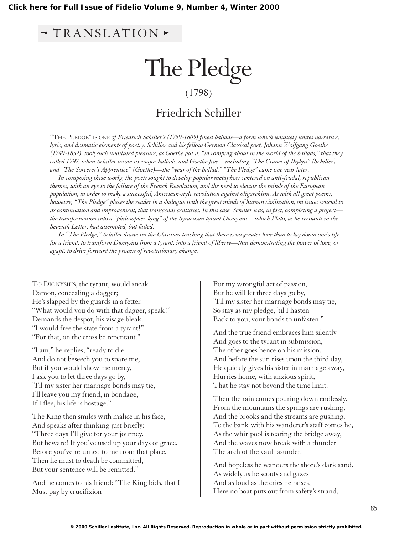## TRANSLATION

## The Pledge (1798) Friedrich Schiller

"THE PLEDGE" IS ONE *of Friedrich Schiller's (1759-1805) finest ballads—a form which uniquely unites narrative, lyric, and dramatic elements of poetry. Schiller and his fellow German Classical poet, Johann Wolfgang Goethe (1749-1832), took such undiluted pleasure, as Goethe put it, "in romping about in the world of the ballads," that they called 1797, when Schiller wrote six major ballads, and Goethe five—including "The Cranes of Ibykus" (Schiller) and "The Sorcerer's Apprentice" (Goethe)—the "year of the ballad." "The Pledge" came one year later.*

*In composing these works, the poets sought to develop popular metaphors centered on anti-feudal, republican themes, with an eye to the failure of the French Revolution, and the need to elevate the minds of the European population, in order to make a successful, American-style revolution against oligarchism. As with all great poems, however, "The Pledge" places the reader in a dialogue with the great minds of human civilization, on issues crucial to its continuation and improvement, that transcends centuries. In this case, Schiller was, in fact, completing a project the transformation into a "philosopher-king" of the Syracusan tyrant Dionysius—which Plato, as he recounts in the Seventh Letter, had attempted, but failed.*

*In "The Pledge," Schiller draws on the Christian teaching that there is no greater love than to lay down one's life for a friend, to transform Dionysius from a tyrant, into a friend of liberty—thus demonstrating the power of love, or agape¯, to drive forward the process of revolutionary change.*

TO DIONYSIUS, the tyrant, would sneak Damon, concealing a dagger; He's slapped by the guards in a fetter. "What would you do with that dagger, speak!" Demands the despot, his visage bleak. "I would free the state from a tyrant!" "For that, on the cross be repentant."

"I am," he replies, "ready to die And do not beseech you to spare me, But if you would show me mercy, I ask you to let three days go by, 'Til my sister her marriage bonds may tie, I'll leave you my friend, in bondage, If I flee, his life is hostage."

The King then smiles with malice in his face, And speaks after thinking just briefly: "Three days I'll give for your journey. But beware! If you've used up your days of grace, Before you've returned to me from that place, Then he must to death be committed, But your sentence will be remitted."

And he comes to his friend: "The King bids, that I Must pay by crucifixion

For my wrongful act of passion, But he will let three days go by, 'Til my sister her marriage bonds may tie, So stay as my pledge, 'til I hasten Back to you, your bonds to unfasten."

And the true friend embraces him silently And goes to the tyrant in submission, The other goes hence on his mission. And before the sun rises upon the third day, He quickly gives his sister in marriage away, Hurries home, with anxious spirit, That he stay not beyond the time limit.

Then the rain comes pouring down endlessly, From the mountains the springs are rushing, And the brooks and the streams are gushing. To the bank with his wanderer's staff comes he, As the whirlpool is tearing the bridge away, And the waves now break with a thunder The arch of the vault asunder.

And hopeless he wanders the shore's dark sand, As widely as he scouts and gazes And as loud as the cries he raises, Here no boat puts out from safety's strand,